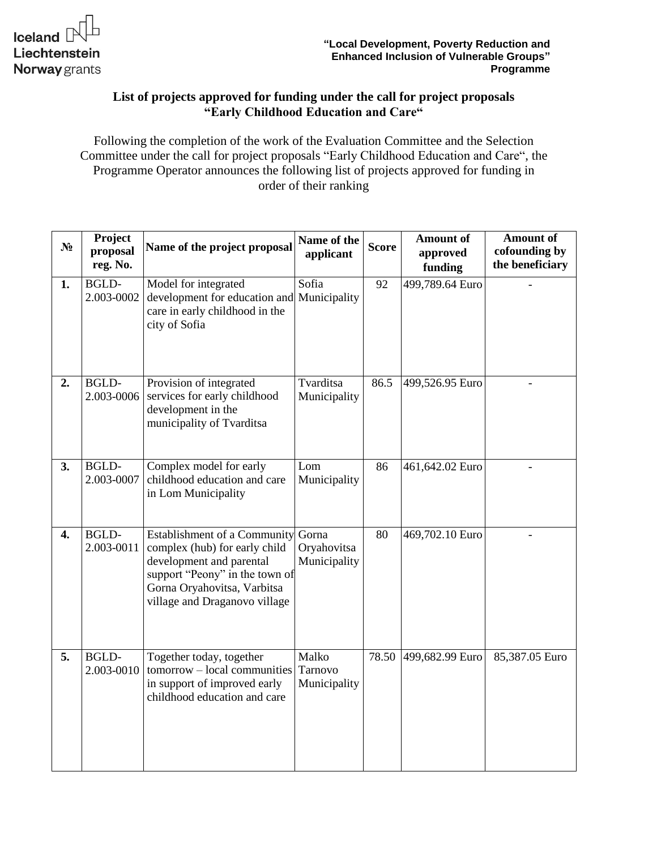## **List of projects approved for funding under the call for project proposals "Early Childhood Education and Care"**

Following the completion of the work of the Evaluation Committee and the Selection Committee under the call for project proposals "Early Childhood Education and Care", the Programme Operator announces the following list of projects approved for funding in order of their ranking

| $N_2$ | Project<br>proposal<br>reg. No. | Name of the project proposal                                                                                                                                                                      | Name of the<br>applicant         | <b>Score</b> | Amount of<br>approved<br>funding | <b>Amount of</b><br>cofounding by<br>the beneficiary |
|-------|---------------------------------|---------------------------------------------------------------------------------------------------------------------------------------------------------------------------------------------------|----------------------------------|--------------|----------------------------------|------------------------------------------------------|
| 1.    | <b>BGLD-</b><br>2.003-0002      | Model for integrated<br>development for education and Municipality<br>care in early childhood in the<br>city of Sofia                                                                             | Sofia                            | 92           | 499,789.64 Euro                  |                                                      |
| 2.    | <b>BGLD-</b><br>2.003-0006      | Provision of integrated<br>services for early childhood<br>development in the<br>municipality of Tvarditsa                                                                                        | Tvarditsa<br>Municipality        | 86.5         | 499,526.95 Euro                  |                                                      |
| 3.    | <b>BGLD-</b><br>2.003-0007      | Complex model for early<br>childhood education and care<br>in Lom Municipality                                                                                                                    | Lom<br>Municipality              | 86           | 461,642.02 Euro                  |                                                      |
| 4.    | <b>BGLD-</b><br>2.003-0011      | Establishment of a Community Gorna<br>complex (hub) for early child<br>development and parental<br>support "Peony" in the town of<br>Gorna Oryahovitsa, Varbitsa<br>village and Draganovo village | Oryahovitsa<br>Municipality      | 80           | 469,702.10 Euro                  |                                                      |
| 5.    | <b>BGLD-</b><br>2.003-0010      | Together today, together<br>tomorrow - local communities<br>in support of improved early<br>childhood education and care                                                                          | Malko<br>Tarnovo<br>Municipality | 78.50        | 499,682.99 Euro                  | 85,387.05 Euro                                       |